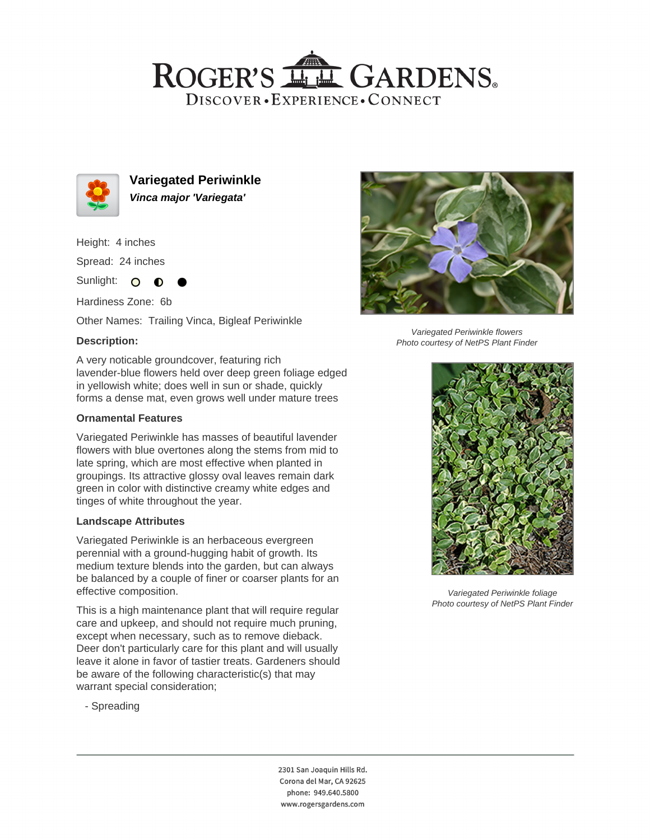## ROGER'S LL GARDENS. DISCOVER · EXPERIENCE · CONNECT



**Variegated Periwinkle Vinca major 'Variegata'**

Height: 4 inches

Spread: 24 inches

Sunlight: O **O** 

Hardiness Zone: 6b

Other Names: Trailing Vinca, Bigleaf Periwinkle

## **Description:**

A very noticable groundcover, featuring rich lavender-blue flowers held over deep green foliage edged in yellowish white; does well in sun or shade, quickly forms a dense mat, even grows well under mature trees

#### **Ornamental Features**

Variegated Periwinkle has masses of beautiful lavender flowers with blue overtones along the stems from mid to late spring, which are most effective when planted in groupings. Its attractive glossy oval leaves remain dark green in color with distinctive creamy white edges and tinges of white throughout the year.

#### **Landscape Attributes**

Variegated Periwinkle is an herbaceous evergreen perennial with a ground-hugging habit of growth. Its medium texture blends into the garden, but can always be balanced by a couple of finer or coarser plants for an effective composition.

This is a high maintenance plant that will require regular care and upkeep, and should not require much pruning, except when necessary, such as to remove dieback. Deer don't particularly care for this plant and will usually leave it alone in favor of tastier treats. Gardeners should be aware of the following characteristic(s) that may warrant special consideration;

- Spreading



Variegated Periwinkle flowers Photo courtesy of NetPS Plant Finder



Variegated Periwinkle foliage Photo courtesy of NetPS Plant Finder

2301 San Joaquin Hills Rd. Corona del Mar, CA 92625 phone: 949.640.5800 www.rogersgardens.com